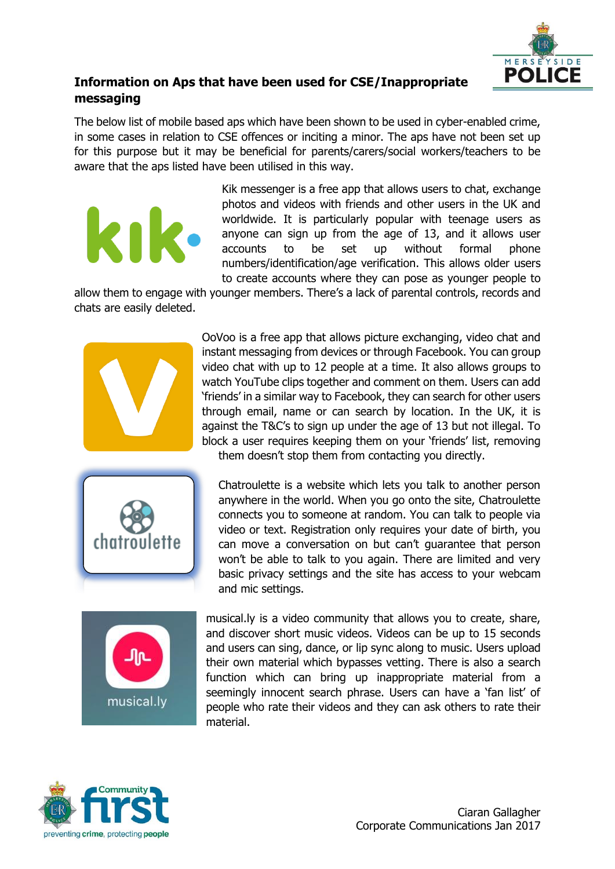

## **Information on Aps that have been used for CSE/Inappropriate messaging**

The below list of mobile based aps which have been shown to be used in cyber-enabled crime, in some cases in relation to CSE offences or inciting a minor. The aps have not been set up for this purpose but it may be beneficial for parents/carers/social workers/teachers to be aware that the aps listed have been utilised in this way.

> Kik messenger is a free app that allows users to chat, exchange photos and videos with friends and other users in the UK and worldwide. It is particularly popular with teenage users as anyone can sign up from the age of 13, and it allows user accounts to be set up without formal phone numbers/identification/age verification. This allows older users to create accounts where they can pose as younger people to

allow them to engage with younger members. There's a lack of parental controls, records and chats are easily deleted.



kı

OoVoo is a free app that allows picture exchanging, video chat and instant messaging from devices or through Facebook. You can group video chat with up to 12 people at a time. It also allows groups to watch YouTube clips together and comment on them. Users can add 'friends' in a similar way to Facebook, they can search for other users through email, name or can search by location. In the UK, it is against the T&C's to sign up under the age of 13 but not illegal. To block a user requires keeping them on your 'friends' list, removing them doesn't stop them from contacting you directly.



Chatroulette is a website which lets you talk to another person anywhere in the world. When you go onto the site, Chatroulette connects you to someone at random. You can talk to people via video or text. Registration only requires your date of birth, you can move a conversation on but can't guarantee that person won't be able to talk to you again. There are limited and very basic privacy settings and the site has access to your webcam and mic settings.



musical.ly is a video community that allows you to create, share, and discover short music videos. Videos can be up to 15 seconds and users can sing, dance, or lip sync along to music. Users upload their own material which bypasses vetting. There is also a search function which can bring up inappropriate material from a seemingly innocent search phrase. Users can have a 'fan list' of people who rate their videos and they can ask others to rate their material.

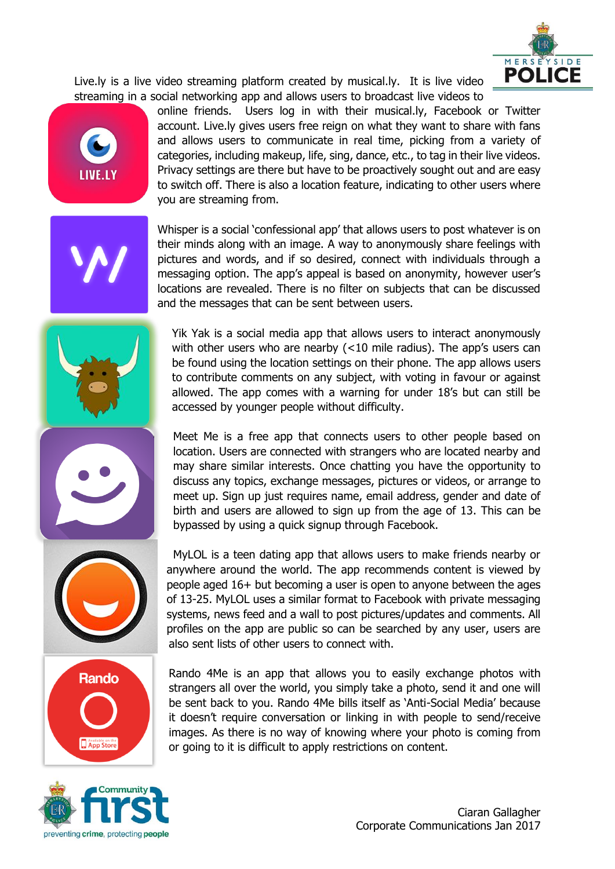

Live.ly is a live video streaming platform created by musical.ly. It is live video streaming in a social networking app and allows users to broadcast live videos to



online friends. Users log in with their musical.ly, Facebook or Twitter account. Live.ly gives users free reign on what they want to share with fans and allows users to communicate in real time, picking from a variety of categories, including makeup, life, sing, dance, etc., to tag in their live videos. Privacy settings are there but have to be proactively sought out and are easy to switch off. There is also a location feature, indicating to other users where you are streaming from.

Whisper is a social 'confessional app' that allows users to post whatever is on their minds along with an image. A way to anonymously share feelings with pictures and words, and if so desired, connect with individuals through a messaging option. The app's appeal is based on anonymity, however user's locations are revealed. There is no filter on subjects that can be discussed and the messages that can be sent between users.



Yik Yak is a social media app that allows users to interact anonymously with other users who are nearby (<10 mile radius). The app's users can be found using the location settings on their phone. The app allows users to contribute comments on any subject, with voting in favour or against allowed. The app comes with a warning for under 18's but can still be accessed by younger people without difficulty.



Meet Me is a free app that connects users to other people based on location. Users are connected with strangers who are located nearby and may share similar interests. Once chatting you have the opportunity to discuss any topics, exchange messages, pictures or videos, or arrange to meet up. Sign up just requires name, email address, gender and date of birth and users are allowed to sign up from the age of 13. This can be bypassed by using a quick signup through Facebook.





MyLOL is a teen dating app that allows users to make friends nearby or anywhere around the world. The app recommends content is viewed by people aged 16+ but becoming a user is open to anyone between the ages of 13-25. MyLOL uses a similar format to Facebook with private messaging systems, news feed and a wall to post pictures/updates and comments. All profiles on the app are public so can be searched by any user, users are also sent lists of other users to connect with.

Rando 4Me is an app that allows you to easily exchange photos with strangers all over the world, you simply take a photo, send it and one will be sent back to you. Rando 4Me bills itself as 'Anti-Social Media' because it doesn't require conversation or linking in with people to send/receive images. As there is no way of knowing where your photo is coming from or going to it is difficult to apply restrictions on content.